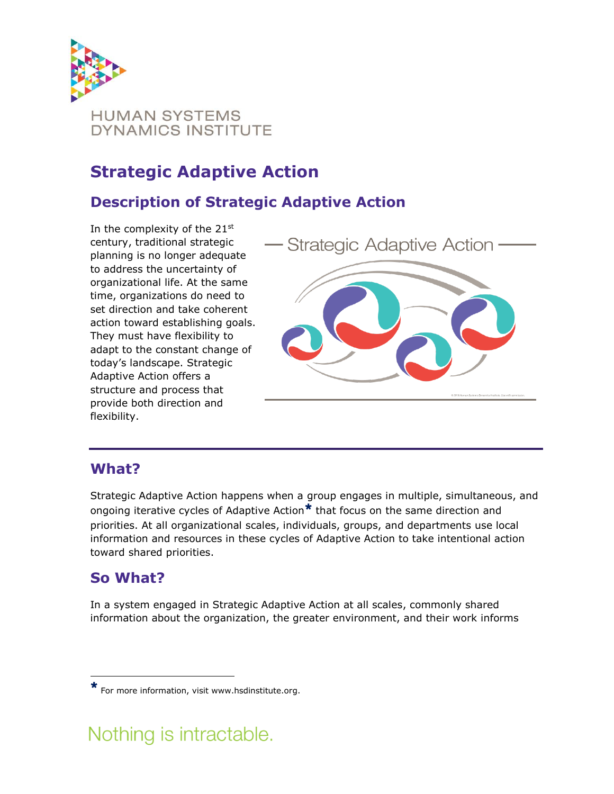

## **Strategic Adaptive Action**

## **Description of Strategic Adaptive Action**

In the complexity of the  $21^{st}$ century, traditional strategic planning is no longer adequate to address the uncertainty of organizational life. At the same time, organizations do need to set direction and take coherent action toward establishing goals. They must have flexibility to adapt to the constant change of today's landscape. Strategic Adaptive Action offers a structure and process that provide both direction and flexibility.



### **What?**

Strategic Adaptive Action happens when a group engages in multiple, simultaneous, and ongoing iterative cycles of Adaptive Action<sup>\*</sup> that focus on the same direction and priorities. At all organizational scales, individuals, groups, and departments use local information and resources in these cycles of Adaptive Action to take intentional action toward shared priorities.

### **So What?**

 $\overline{a}$ 

In a system engaged in Strategic Adaptive Action at all scales, commonly shared information about the organization, the greater environment, and their work informs

# Nothing is intractable.

<sup>\*</sup> For more information, visit www.hsdinstitute.org.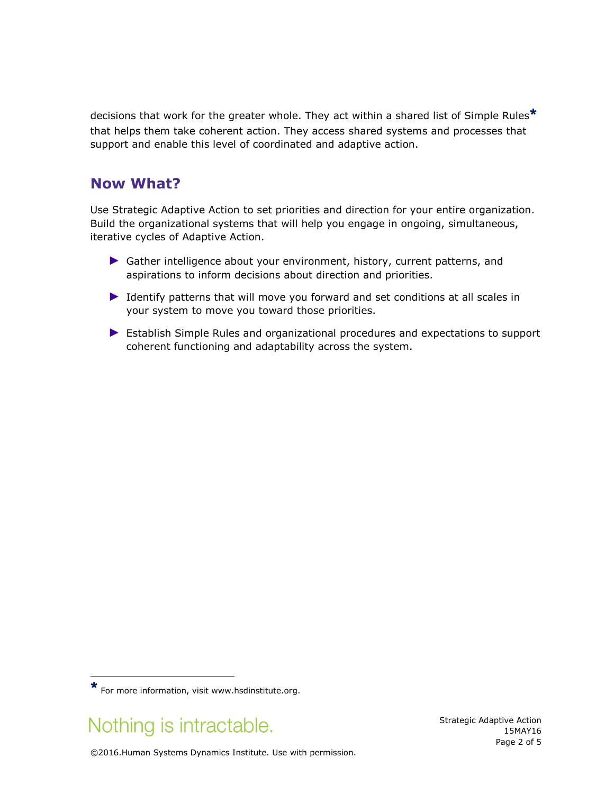decisions that work for the greater whole. They act within a shared list of Simple Rules\* that helps them take coherent action. They access shared systems and processes that support and enable this level of coordinated and adaptive action.

#### **Now What?**

Use Strategic Adaptive Action to set priorities and direction for your entire organization. Build the organizational systems that will help you engage in ongoing, simultaneous, iterative cycles of Adaptive Action.

- ► Gather intelligence about your environment, history, current patterns, and aspirations to inform decisions about direction and priorities.
- ► Identify patterns that will move you forward and set conditions at all scales in your system to move you toward those priorities.
- ► Establish Simple Rules and organizational procedures and expectations to support coherent functioning and adaptability across the system.

# Nothing is intractable.

 $\overline{a}$ 

Strategic Adaptive Action 15MAY16 Page 2 of 5

©2016.Human Systems Dynamics Institute. Use with permission.

<sup>\*</sup> For more information, visit www.hsdinstitute.org.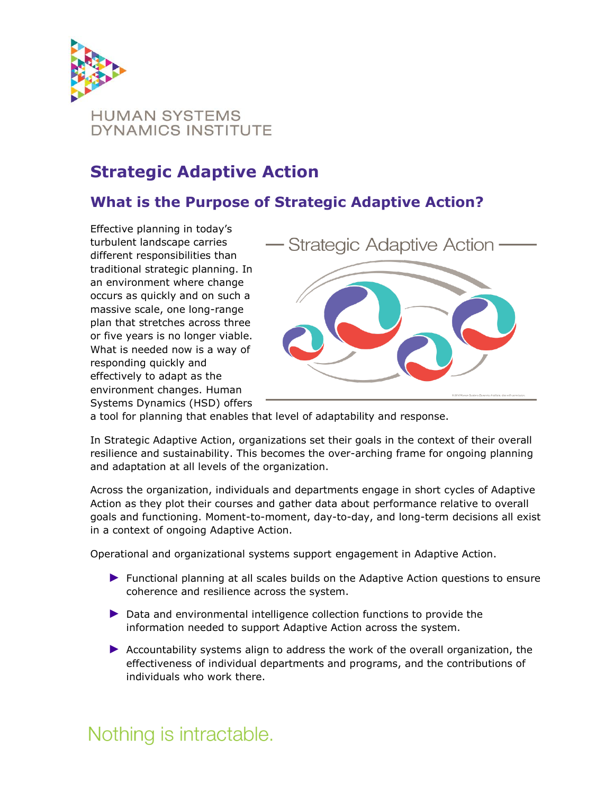

## **Strategic Adaptive Action**

### **What is the Purpose of Strategic Adaptive Action?**

Effective planning in today's turbulent landscape carries different responsibilities than traditional strategic planning. In an environment where change occurs as quickly and on such a massive scale, one long-range plan that stretches across three or five years is no longer viable. What is needed now is a way of responding quickly and effectively to adapt as the environment changes. Human Systems Dynamics (HSD) offers



a tool for planning that enables that level of adaptability and response.

In Strategic Adaptive Action, organizations set their goals in the context of their overall resilience and sustainability. This becomes the over-arching frame for ongoing planning and adaptation at all levels of the organization.

Across the organization, individuals and departments engage in short cycles of Adaptive Action as they plot their courses and gather data about performance relative to overall goals and functioning. Moment-to-moment, day-to-day, and long-term decisions all exist in a context of ongoing Adaptive Action.

Operational and organizational systems support engagement in Adaptive Action.

- ► Functional planning at all scales builds on the Adaptive Action questions to ensure coherence and resilience across the system.
- ► Data and environmental intelligence collection functions to provide the information needed to support Adaptive Action across the system.
- ► Accountability systems align to address the work of the overall organization, the effectiveness of individual departments and programs, and the contributions of individuals who work there.

# Nothing is intractable.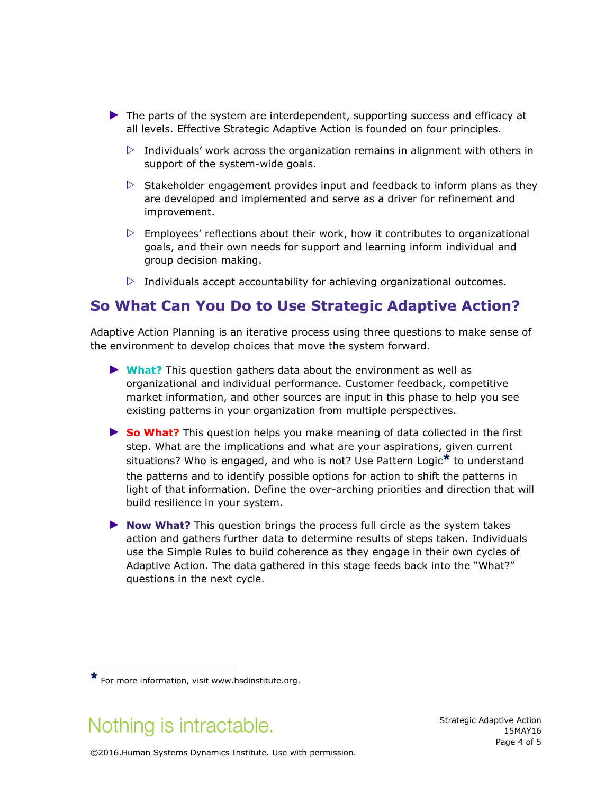- ► The parts of the system are interdependent, supporting success and efficacy at all levels. Effective Strategic Adaptive Action is founded on four principles.
	- $\triangleright$  Individuals' work across the organization remains in alignment with others in support of the system-wide goals.
	- $\triangleright$  Stakeholder engagement provides input and feedback to inform plans as they are developed and implemented and serve as a driver for refinement and improvement.
	- $\triangleright$  Employees' reflections about their work, how it contributes to organizational goals, and their own needs for support and learning inform individual and group decision making.
	- $\triangleright$  Individuals accept accountability for achieving organizational outcomes.

#### **So What Can You Do to Use Strategic Adaptive Action?**

Adaptive Action Planning is an iterative process using three questions to make sense of the environment to develop choices that move the system forward.

- ► **What?** This question gathers data about the environment as well as organizational and individual performance. Customer feedback, competitive market information, and other sources are input in this phase to help you see existing patterns in your organization from multiple perspectives.
- ► **So What?** This question helps you make meaning of data collected in the first step. What are the implications and what are your aspirations, given current situations? Who is engaged, and who is not? Use Pattern Logic<sup>\*</sup> to understand the patterns and to identify possible options for action to shift the patterns in light of that information. Define the over-arching priorities and direction that will build resilience in your system.
- ► **Now What?** This question brings the process full circle as the system takes action and gathers further data to determine results of steps taken. Individuals use the Simple Rules to build coherence as they engage in their own cycles of Adaptive Action. The data gathered in this stage feeds back into the "What?" questions in the next cycle.

# Nothing is intractable.

 $\overline{a}$ 

Strategic Adaptive Action 15MAY16 Page 4 of 5

©2016.Human Systems Dynamics Institute. Use with permission.

 $\star$  For more information, visit www.hsdinstitute.org.